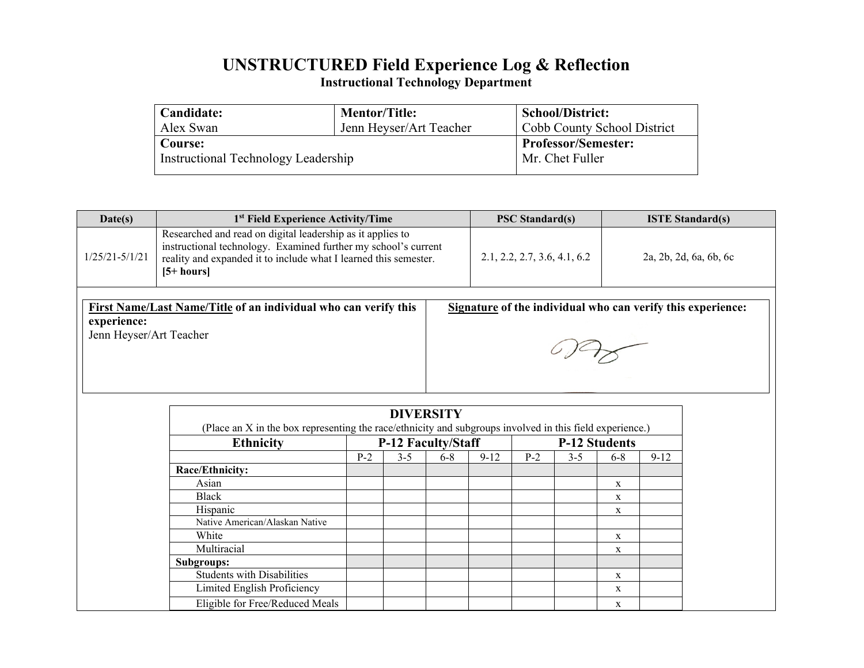# **UNSTRUCTURED Field Experience Log & Reflection**

**Instructional Technology Department**

| Candidate:                          | <b>Mentor/Title:</b>       | <b>School/District:</b><br>Cobb County School District |  |  |  |
|-------------------------------------|----------------------------|--------------------------------------------------------|--|--|--|
| Alex Swan                           | Jenn Heyser/Art Teacher    |                                                        |  |  |  |
| Course:                             | <b>Professor/Semester:</b> |                                                        |  |  |  |
| Instructional Technology Leadership |                            | Mr. Chet Fuller                                        |  |  |  |
|                                     |                            |                                                        |  |  |  |

| Date(s)                                                                                                                                                                  | 1 <sup>st</sup> Field Experience Activity/Time                                                                                                                                                                    |                    |         |         | <b>PSC Standard(s)</b> |       |                              | <b>ISTE Standard(s)</b> |          |  |
|--------------------------------------------------------------------------------------------------------------------------------------------------------------------------|-------------------------------------------------------------------------------------------------------------------------------------------------------------------------------------------------------------------|--------------------|---------|---------|------------------------|-------|------------------------------|-------------------------|----------|--|
| $1/25/21 - 5/1/21$                                                                                                                                                       | Researched and read on digital leadership as it applies to<br>instructional technology. Examined further my school's current<br>reality and expanded it to include what I learned this semester.<br>$[5 + hours]$ |                    |         |         |                        |       | 2.1, 2.2, 2.7, 3.6, 4.1, 6.2 | 2a, 2b, 2d, 6a, 6b, 6c  |          |  |
| First Name/Last Name/Title of an individual who can verify this<br>Signature of the individual who can verify this experience:<br>experience:<br>Jenn Heyser/Art Teacher |                                                                                                                                                                                                                   |                    |         |         |                        |       |                              |                         |          |  |
| <b>DIVERSITY</b><br>(Place an X in the box representing the race/ethnicity and subgroups involved in this field experience.)                                             |                                                                                                                                                                                                                   |                    |         |         |                        |       |                              |                         |          |  |
|                                                                                                                                                                          | <b>Ethnicity</b>                                                                                                                                                                                                  | P-12 Faculty/Staff |         |         | <b>P-12 Students</b>   |       |                              |                         |          |  |
|                                                                                                                                                                          |                                                                                                                                                                                                                   | $P-2$              | $3 - 5$ | $6 - 8$ | $9 - 12$               | $P-2$ | $3 - 5$                      | $6 - 8$                 | $9 - 12$ |  |
|                                                                                                                                                                          | Race/Ethnicity:                                                                                                                                                                                                   |                    |         |         |                        |       |                              |                         |          |  |
|                                                                                                                                                                          | Asian                                                                                                                                                                                                             |                    |         |         |                        |       |                              | $\mathbf X$             |          |  |
|                                                                                                                                                                          | <b>Black</b>                                                                                                                                                                                                      |                    |         |         |                        |       |                              | $\mathbf X$             |          |  |
|                                                                                                                                                                          | Hispanic<br>Native American/Alaskan Native                                                                                                                                                                        |                    |         |         |                        |       |                              | $\mathbf X$             |          |  |
|                                                                                                                                                                          |                                                                                                                                                                                                                   |                    |         |         |                        |       |                              |                         |          |  |
|                                                                                                                                                                          | White<br>Multiracial                                                                                                                                                                                              |                    |         |         |                        |       |                              | $\mathbf X$             |          |  |
|                                                                                                                                                                          | Subgroups:                                                                                                                                                                                                        |                    |         |         |                        |       |                              | $\mathbf X$             |          |  |
|                                                                                                                                                                          | <b>Students with Disabilities</b>                                                                                                                                                                                 |                    |         |         |                        |       |                              | $\mathbf X$             |          |  |
|                                                                                                                                                                          | Limited English Proficiency                                                                                                                                                                                       |                    |         |         |                        |       |                              | $\mathbf X$             |          |  |
|                                                                                                                                                                          | Eligible for Free/Reduced Meals<br>$\mathbf X$                                                                                                                                                                    |                    |         |         |                        |       |                              |                         |          |  |